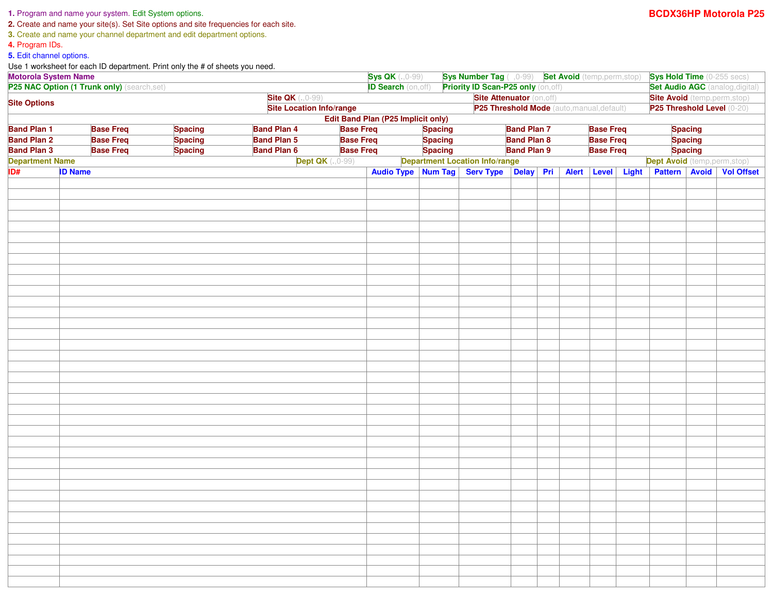## **1.** Program and name your system. Edit System options.

**2.** Create and name your site(s). Set Site options and site frequencies for each site.

**3.** Create and name your channel department and edit department options.

**4.** Program IDs.

**5.** Edit channel options.

Use 1 worksheet for each ID department. Print only the # of sheets you need.

| <b>Motorola System Name</b><br>P25 NAC Option (1 Trunk only) (search,set)          |                  |                |                                            |                          | <b>Sys QK</b> (.,0-99)                    |                                     |                                        |                    |                                        | Sys Number Tag ( , 0-99) Set Avoid (temp,perm,stop) Sys Hold Time (0-255 secs) |                  |                                    |                |                          |  |
|------------------------------------------------------------------------------------|------------------|----------------|--------------------------------------------|--------------------------|-------------------------------------------|-------------------------------------|----------------------------------------|--------------------|----------------------------------------|--------------------------------------------------------------------------------|------------------|------------------------------------|----------------|--------------------------|--|
|                                                                                    |                  |                |                                            |                          | <b>ID Search</b> (on, off)                | Priority ID Scan-P25 only (on, off) |                                        |                    | <b>Set Audio AGC</b> (analog, digital) |                                                                                |                  |                                    |                |                          |  |
| <b>Site QK</b> (., 0-99)<br><b>Site Options</b><br><b>Site Location Info/range</b> |                  |                | <b>Site Attenuator (on, off)</b>           |                          |                                           |                                     |                                        |                    | <b>Site Avoid</b> (temp, perm, stop)   |                                                                                |                  |                                    |                |                          |  |
|                                                                                    |                  |                | P25 Threshold Mode (auto, manual, default) |                          |                                           |                                     |                                        |                    | P25 Threshold Level (0-20)             |                                                                                |                  |                                    |                |                          |  |
|                                                                                    |                  |                |                                            |                          | <b>Edit Band Plan (P25 Implicit only)</b> |                                     |                                        |                    |                                        |                                                                                |                  |                                    |                |                          |  |
| <b>Band Plan 1</b>                                                                 | <b>Base Freq</b> | <b>Spacing</b> | <b>Band Plan 4</b>                         | <b>Base Freq</b>         |                                           | <b>Spacing</b>                      |                                        | <b>Band Plan 7</b> |                                        | <b>Base Freq</b>                                                               |                  |                                    | <b>Spacing</b> |                          |  |
| <b>Band Plan 2</b><br><b>Base Freq</b>                                             |                  | <b>Spacing</b> | <b>Band Plan 5</b>                         | <b>Base Freq</b>         | <b>Spacing</b>                            |                                     |                                        | <b>Band Plan 8</b> |                                        |                                                                                | <b>Base Freq</b> |                                    | <b>Spacing</b> |                          |  |
| <b>Band Plan 3</b>                                                                 | <b>Base Freq</b> | <b>Spacing</b> | <b>Band Plan 6</b>                         | <b>Base Freq</b>         |                                           | <b>Spacing</b>                      | <b>Band Plan 9</b>                     |                    |                                        | <b>Base Freq</b>                                                               |                  | <b>Spacing</b>                     |                |                          |  |
| <b>Department Name</b>                                                             |                  |                |                                            | <b>Dept QK</b> (., 0-99) |                                           |                                     | <b>Department Location Info/range</b>  |                    |                                        |                                                                                |                  | <b>Dept Avoid</b> (temp,perm,stop) |                |                          |  |
| ID#                                                                                | <b>ID Name</b>   |                |                                            |                          |                                           |                                     | Audio Type Num Tag Serv Type Delay Pri |                    | Alert                                  |                                                                                | Level Light      |                                    |                | Pattern Avoid Vol Offset |  |
|                                                                                    |                  |                |                                            |                          |                                           |                                     |                                        |                    |                                        |                                                                                |                  |                                    |                |                          |  |
|                                                                                    |                  |                |                                            |                          |                                           |                                     |                                        |                    |                                        |                                                                                |                  |                                    |                |                          |  |
|                                                                                    |                  |                |                                            |                          |                                           |                                     |                                        |                    |                                        |                                                                                |                  |                                    |                |                          |  |
|                                                                                    |                  |                |                                            |                          |                                           |                                     |                                        |                    |                                        |                                                                                |                  |                                    |                |                          |  |
|                                                                                    |                  |                |                                            |                          |                                           |                                     |                                        |                    |                                        |                                                                                |                  |                                    |                |                          |  |
|                                                                                    |                  |                |                                            |                          |                                           |                                     |                                        |                    |                                        |                                                                                |                  |                                    |                |                          |  |
|                                                                                    |                  |                |                                            |                          |                                           |                                     |                                        |                    |                                        |                                                                                |                  |                                    |                |                          |  |
|                                                                                    |                  |                |                                            |                          |                                           |                                     |                                        |                    |                                        |                                                                                |                  |                                    |                |                          |  |
|                                                                                    |                  |                |                                            |                          |                                           |                                     |                                        |                    |                                        |                                                                                |                  |                                    |                |                          |  |
|                                                                                    |                  |                |                                            |                          |                                           |                                     |                                        |                    |                                        |                                                                                |                  |                                    |                |                          |  |
|                                                                                    |                  |                |                                            |                          |                                           |                                     |                                        |                    |                                        |                                                                                |                  |                                    |                |                          |  |
|                                                                                    |                  |                |                                            |                          |                                           |                                     |                                        |                    |                                        |                                                                                |                  |                                    |                |                          |  |
|                                                                                    |                  |                |                                            |                          |                                           |                                     |                                        |                    |                                        |                                                                                |                  |                                    |                |                          |  |
|                                                                                    |                  |                |                                            |                          |                                           |                                     |                                        |                    |                                        |                                                                                |                  |                                    |                |                          |  |
|                                                                                    |                  |                |                                            |                          |                                           |                                     |                                        |                    |                                        |                                                                                |                  |                                    |                |                          |  |
|                                                                                    |                  |                |                                            |                          |                                           |                                     |                                        |                    |                                        |                                                                                |                  |                                    |                |                          |  |
|                                                                                    |                  |                |                                            |                          |                                           |                                     |                                        |                    |                                        |                                                                                |                  |                                    |                |                          |  |
|                                                                                    |                  |                |                                            |                          |                                           |                                     |                                        |                    |                                        |                                                                                |                  |                                    |                |                          |  |
|                                                                                    |                  |                |                                            |                          |                                           |                                     |                                        |                    |                                        |                                                                                |                  |                                    |                |                          |  |
|                                                                                    |                  |                |                                            |                          |                                           |                                     |                                        |                    |                                        |                                                                                |                  |                                    |                |                          |  |
|                                                                                    |                  |                |                                            |                          |                                           |                                     |                                        |                    |                                        |                                                                                |                  |                                    |                |                          |  |
|                                                                                    |                  |                |                                            |                          |                                           |                                     |                                        |                    |                                        |                                                                                |                  |                                    |                |                          |  |
|                                                                                    |                  |                |                                            |                          |                                           |                                     |                                        |                    |                                        |                                                                                |                  |                                    |                |                          |  |
|                                                                                    |                  |                |                                            |                          |                                           |                                     |                                        |                    |                                        |                                                                                |                  |                                    |                |                          |  |
|                                                                                    |                  |                |                                            |                          |                                           |                                     |                                        |                    |                                        |                                                                                |                  |                                    |                |                          |  |
|                                                                                    |                  |                |                                            |                          |                                           |                                     |                                        |                    |                                        |                                                                                |                  |                                    |                |                          |  |
|                                                                                    |                  |                |                                            |                          |                                           |                                     |                                        |                    |                                        |                                                                                |                  |                                    |                |                          |  |
|                                                                                    |                  |                |                                            |                          |                                           |                                     |                                        |                    |                                        |                                                                                |                  |                                    |                |                          |  |
|                                                                                    |                  |                |                                            |                          |                                           |                                     |                                        |                    |                                        |                                                                                |                  |                                    |                |                          |  |
|                                                                                    |                  |                |                                            |                          |                                           |                                     |                                        |                    |                                        |                                                                                |                  |                                    |                |                          |  |
|                                                                                    |                  |                |                                            |                          |                                           |                                     |                                        |                    |                                        |                                                                                |                  |                                    |                |                          |  |
|                                                                                    |                  |                |                                            |                          |                                           |                                     |                                        |                    |                                        |                                                                                |                  |                                    |                |                          |  |
|                                                                                    |                  |                |                                            |                          |                                           |                                     |                                        |                    |                                        |                                                                                |                  |                                    |                |                          |  |
|                                                                                    |                  |                |                                            |                          |                                           |                                     |                                        |                    |                                        |                                                                                |                  |                                    |                |                          |  |
|                                                                                    |                  |                |                                            |                          |                                           |                                     |                                        |                    |                                        |                                                                                |                  |                                    |                |                          |  |
|                                                                                    |                  |                |                                            |                          |                                           |                                     |                                        |                    |                                        |                                                                                |                  |                                    |                |                          |  |
|                                                                                    |                  |                |                                            |                          |                                           |                                     |                                        |                    |                                        |                                                                                |                  |                                    |                |                          |  |
|                                                                                    |                  |                |                                            |                          |                                           |                                     |                                        |                    |                                        |                                                                                |                  |                                    |                |                          |  |
|                                                                                    |                  |                |                                            |                          |                                           |                                     |                                        |                    |                                        |                                                                                |                  |                                    |                |                          |  |